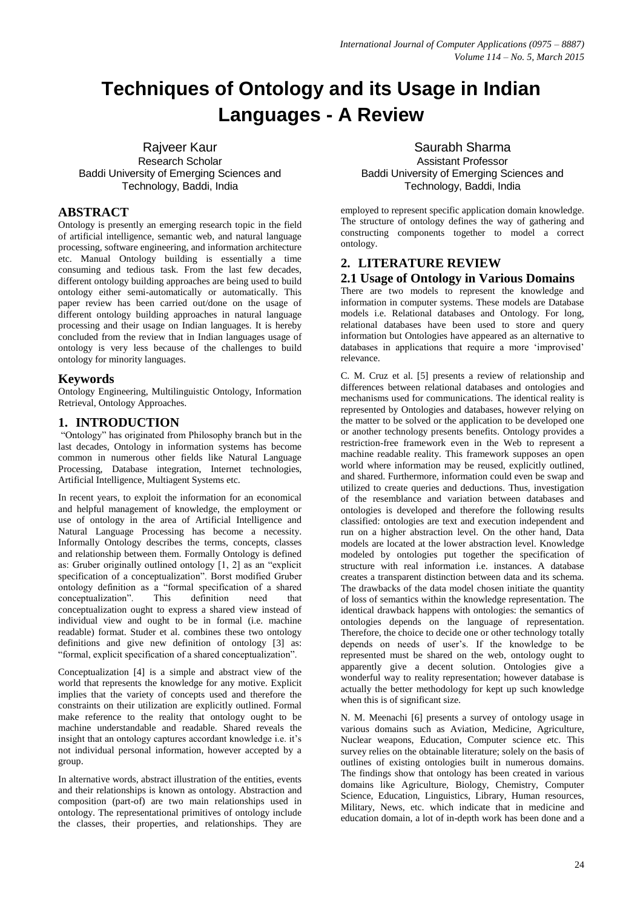# **Techniques of Ontology and its Usage in Indian Languages - A Review**

Rajveer Kaur Research Scholar Baddi University of Emerging Sciences and Technology, Baddi, India

# **ABSTRACT**

Ontology is presently an emerging research topic in the field of artificial intelligence, semantic web, and natural language processing, software engineering, and information architecture etc. Manual Ontology building is essentially a time consuming and tedious task. From the last few decades, different ontology building approaches are being used to build ontology either semi-automatically or automatically. This paper review has been carried out/done on the usage of different ontology building approaches in natural language processing and their usage on Indian languages. It is hereby concluded from the review that in Indian languages usage of ontology is very less because of the challenges to build ontology for minority languages.

## **Keywords**

Ontology Engineering, Multilinguistic Ontology, Information Retrieval, Ontology Approaches.

## **1. INTRODUCTION**

"Ontology" has originated from Philosophy branch but in the last decades, Ontology in information systems has become common in numerous other fields like Natural Language Processing, Database integration, Internet technologies, Artificial Intelligence, Multiagent Systems etc.

In recent years, to exploit the information for an economical and helpful management of knowledge, the employment or use of ontology in the area of Artificial Intelligence and Natural Language Processing has become a necessity. Informally Ontology describes the terms, concepts, classes and relationship between them. Formally Ontology is defined as: Gruber originally outlined ontology [1, 2] as an "explicit specification of a conceptualization". Borst modified Gruber ontology definition as a "formal specification of a shared<br>concentualization". This definition need that conceptualization". This definition need that conceptualization ought to express a shared view instead of individual view and ought to be in formal (i.e. machine readable) format. Studer et al. combines these two ontology definitions and give new definition of ontology [3] as: "formal, explicit specification of a shared conceptualization".

Conceptualization [4] is a simple and abstract view of the world that represents the knowledge for any motive. Explicit implies that the variety of concepts used and therefore the constraints on their utilization are explicitly outlined. Formal make reference to the reality that ontology ought to be machine understandable and readable. Shared reveals the insight that an ontology captures accordant knowledge i.e. it"s not individual personal information, however accepted by a group.

In alternative words, abstract illustration of the entities, events and their relationships is known as ontology. Abstraction and composition (part-of) are two main relationships used in ontology. The representational primitives of ontology include the classes, their properties, and relationships. They are

Saurabh Sharma Assistant Professor Baddi University of Emerging Sciences and Technology, Baddi, India

employed to represent specific application domain knowledge. The structure of ontology defines the way of gathering and constructing components together to model a correct ontology.

# **2. LITERATURE REVIEW**

## **2.1 Usage of Ontology in Various Domains**

There are two models to represent the knowledge and information in computer systems. These models are Database models i.e. Relational databases and Ontology. For long, relational databases have been used to store and query information but Ontologies have appeared as an alternative to databases in applications that require a more "improvised" relevance.

C. M. Cruz et al. [5] presents a review of relationship and differences between relational databases and ontologies and mechanisms used for communications. The identical reality is represented by Ontologies and databases, however relying on the matter to be solved or the application to be developed one or another technology presents benefits. Ontology provides a restriction-free framework even in the Web to represent a machine readable reality. This framework supposes an open world where information may be reused, explicitly outlined, and shared. Furthermore, information could even be swap and utilized to create queries and deductions. Thus, investigation of the resemblance and variation between databases and ontologies is developed and therefore the following results classified: ontologies are text and execution independent and run on a higher abstraction level. On the other hand, Data models are located at the lower abstraction level. Knowledge modeled by ontologies put together the specification of structure with real information i.e. instances. A database creates a transparent distinction between data and its schema. The drawbacks of the data model chosen initiate the quantity of loss of semantics within the knowledge representation. The identical drawback happens with ontologies: the semantics of ontologies depends on the language of representation. Therefore, the choice to decide one or other technology totally depends on needs of user"s. If the knowledge to be represented must be shared on the web, ontology ought to apparently give a decent solution. Ontologies give a wonderful way to reality representation; however database is actually the better methodology for kept up such knowledge when this is of significant size.

N. M. Meenachi [6] presents a survey of ontology usage in various domains such as Aviation, Medicine, Agriculture, Nuclear weapons, Education, Computer science etc. This survey relies on the obtainable literature; solely on the basis of outlines of existing ontologies built in numerous domains. The findings show that ontology has been created in various domains like Agriculture, Biology, Chemistry, Computer Science, Education, Linguistics, Library, Human resources, Military, News, etc. which indicate that in medicine and education domain, a lot of in-depth work has been done and a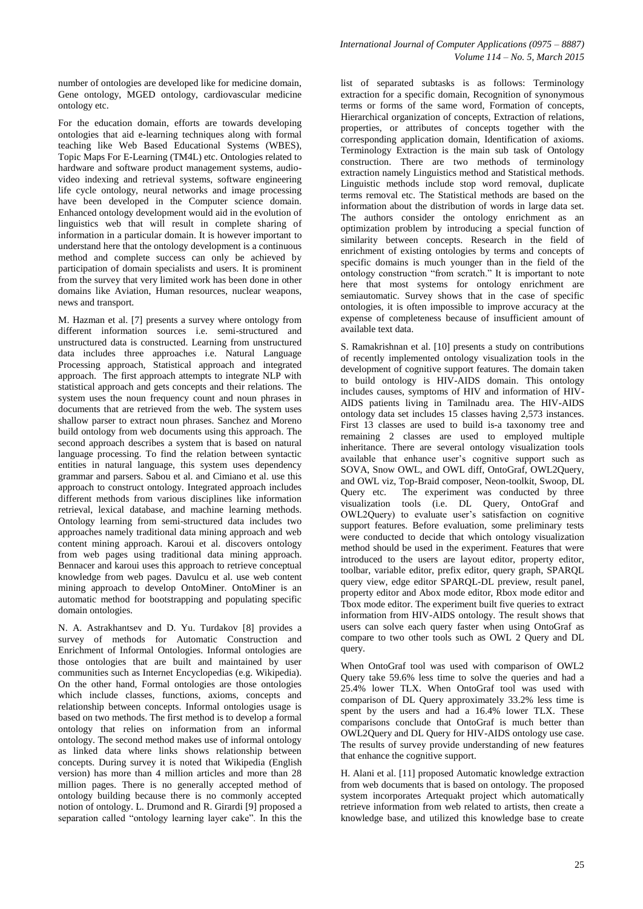number of ontologies are developed like for medicine domain, Gene ontology, MGED ontology, cardiovascular medicine ontology etc.

For the education domain, efforts are towards developing ontologies that aid e-learning techniques along with formal teaching like Web Based Educational Systems (WBES), Topic Maps For E-Learning (TM4L) etc. Ontologies related to hardware and software product management systems, audiovideo indexing and retrieval systems, software engineering life cycle ontology, neural networks and image processing have been developed in the Computer science domain. Enhanced ontology development would aid in the evolution of linguistics web that will result in complete sharing of information in a particular domain. It is however important to understand here that the ontology development is a continuous method and complete success can only be achieved by participation of domain specialists and users. It is prominent from the survey that very limited work has been done in other domains like Aviation, Human resources, nuclear weapons, news and transport.

M. Hazman et al. [7] presents a survey where ontology from different information sources i.e. semi-structured and unstructured data is constructed. Learning from unstructured data includes three approaches i.e. Natural Language Processing approach, Statistical approach and integrated approach. The first approach attempts to integrate NLP with statistical approach and gets concepts and their relations. The system uses the noun frequency count and noun phrases in documents that are retrieved from the web. The system uses shallow parser to extract noun phrases. Sanchez and Moreno build ontology from web documents using this approach. The second approach describes a system that is based on natural language processing. To find the relation between syntactic entities in natural language, this system uses dependency grammar and parsers. Sabou et al. and Cimiano et al. use this approach to construct ontology. Integrated approach includes different methods from various disciplines like information retrieval, lexical database, and machine learning methods. Ontology learning from semi-structured data includes two approaches namely traditional data mining approach and web content mining approach. Karoui et al. discovers ontology from web pages using traditional data mining approach. Bennacer and karoui uses this approach to retrieve conceptual knowledge from web pages. Davulcu et al. use web content mining approach to develop OntoMiner. OntoMiner is an automatic method for bootstrapping and populating specific domain ontologies.

N. A. Astrakhantsev and D. Yu. Turdakov [8] provides a survey of methods for Automatic Construction and Enrichment of Informal Ontologies. Informal ontologies are those ontologies that are built and maintained by user communities such as Internet Encyclopedias (e.g. Wikipedia). On the other hand, Formal ontologies are those ontologies which include classes, functions, axioms, concepts and relationship between concepts. Informal ontologies usage is based on two methods. The first method is to develop a formal ontology that relies on information from an informal ontology. The second method makes use of informal ontology as linked data where links shows relationship between concepts. During survey it is noted that Wikipedia (English version) has more than 4 million articles and more than 28 million pages. There is no generally accepted method of ontology building because there is no commonly accepted notion of ontology. L. Drumond and R. Girardi [9] proposed a separation called "ontology learning layer cake". In this the

list of separated subtasks is as follows: Terminology extraction for a specific domain, Recognition of synonymous terms or forms of the same word, Formation of concepts, Hierarchical organization of concepts, Extraction of relations, properties, or attributes of concepts together with the corresponding application domain, Identification of axioms. Terminology Extraction is the main sub task of Ontology construction. There are two methods of terminology extraction namely Linguistics method and Statistical methods. Linguistic methods include stop word removal, duplicate terms removal etc. The Statistical methods are based on the information about the distribution of words in large data set. The authors consider the ontology enrichment as an optimization problem by introducing a special function of similarity between concepts. Research in the field of enrichment of existing ontologies by terms and concepts of specific domains is much younger than in the field of the ontology construction "from scratch." It is important to note here that most systems for ontology enrichment are semiautomatic. Survey shows that in the case of specific ontologies, it is often impossible to improve accuracy at the expense of completeness because of insufficient amount of available text data.

S. Ramakrishnan et al. [10] presents a study on contributions of recently implemented ontology visualization tools in the development of cognitive support features. The domain taken to build ontology is HIV-AIDS domain. This ontology includes causes, symptoms of HIV and information of HIV-AIDS patients living in Tamilnadu area. The HIV-AIDS ontology data set includes 15 classes having 2,573 instances. First 13 classes are used to build is-a taxonomy tree and remaining 2 classes are used to employed multiple inheritance. There are several ontology visualization tools available that enhance user's cognitive support such as SOVA, Snow OWL, and OWL diff, OntoGraf, OWL2Query, and OWL viz, Top-Braid composer, Neon-toolkit, Swoop, DL Query etc. The experiment was conducted by three visualization tools (i.e. DL Query, OntoGraf and OWL2Query) to evaluate user"s satisfaction on cognitive support features. Before evaluation, some preliminary tests were conducted to decide that which ontology visualization method should be used in the experiment. Features that were introduced to the users are layout editor, property editor, toolbar, variable editor, prefix editor, query graph, SPARQL query view, edge editor SPARQL-DL preview, result panel, property editor and Abox mode editor, Rbox mode editor and Tbox mode editor. The experiment built five queries to extract information from HIV-AIDS ontology. The result shows that users can solve each query faster when using OntoGraf as compare to two other tools such as OWL 2 Query and DL query.

When OntoGraf tool was used with comparison of OWL2 Query take 59.6% less time to solve the queries and had a 25.4% lower TLX. When OntoGraf tool was used with comparison of DL Query approximately 33.2% less time is spent by the users and had a 16.4% lower TLX. These comparisons conclude that OntoGraf is much better than OWL2Query and DL Query for HIV-AIDS ontology use case. The results of survey provide understanding of new features that enhance the cognitive support.

H. Alani et al. [11] proposed Automatic knowledge extraction from web documents that is based on ontology. The proposed system incorporates Artequakt project which automatically retrieve information from web related to artists, then create a knowledge base, and utilized this knowledge base to create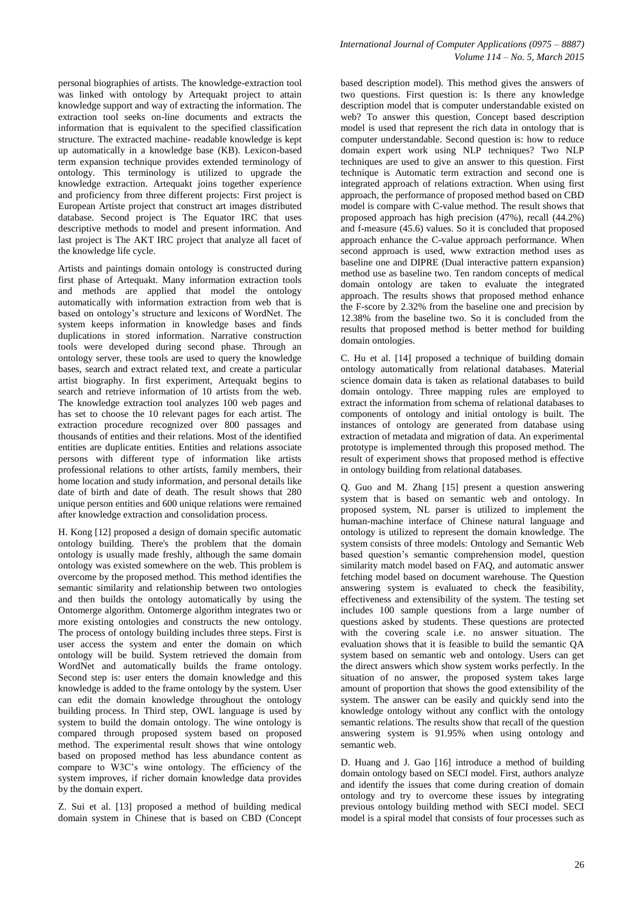personal biographies of artists. The knowledge-extraction tool was linked with ontology by Artequakt project to attain knowledge support and way of extracting the information. The extraction tool seeks on-line documents and extracts the information that is equivalent to the specified classification structure. The extracted machine- readable knowledge is kept up automatically in a knowledge base (KB). Lexicon-based term expansion technique provides extended terminology of ontology. This terminology is utilized to upgrade the knowledge extraction. Artequakt joins together experience and proficiency from three different projects: First project is European Artiste project that construct art images distributed database. Second project is The Equator IRC that uses descriptive methods to model and present information. And last project is The AKT IRC project that analyze all facet of the knowledge life cycle.

Artists and paintings domain ontology is constructed during first phase of Artequakt. Many information extraction tools and methods are applied that model the ontology automatically with information extraction from web that is based on ontology"s structure and lexicons of WordNet. The system keeps information in knowledge bases and finds duplications in stored information. Narrative construction tools were developed during second phase. Through an ontology server, these tools are used to query the knowledge bases, search and extract related text, and create a particular artist biography. In first experiment, Artequakt begins to search and retrieve information of 10 artists from the web. The knowledge extraction tool analyzes 100 web pages and has set to choose the 10 relevant pages for each artist. The extraction procedure recognized over 800 passages and thousands of entities and their relations. Most of the identified entities are duplicate entities. Entities and relations associate persons with different type of information like artists professional relations to other artists, family members, their home location and study information, and personal details like date of birth and date of death. The result shows that 280 unique person entities and 600 unique relations were remained after knowledge extraction and consolidation process.

H. Kong [12] proposed a design of domain specific automatic ontology building. There's the problem that the domain ontology is usually made freshly, although the same domain ontology was existed somewhere on the web. This problem is overcome by the proposed method. This method identifies the semantic similarity and relationship between two ontologies and then builds the ontology automatically by using the Ontomerge algorithm. Ontomerge algorithm integrates two or more existing ontologies and constructs the new ontology. The process of ontology building includes three steps. First is user access the system and enter the domain on which ontology will be build. System retrieved the domain from WordNet and automatically builds the frame ontology. Second step is: user enters the domain knowledge and this knowledge is added to the frame ontology by the system. User can edit the domain knowledge throughout the ontology building process. In Third step, OWL language is used by system to build the domain ontology. The wine ontology is compared through proposed system based on proposed method. The experimental result shows that wine ontology based on proposed method has less abundance content as compare to W3C"s wine ontology. The efficiency of the system improves, if richer domain knowledge data provides by the domain expert.

Z. Sui et al. [13] proposed a method of building medical domain system in Chinese that is based on CBD (Concept based description model). This method gives the answers of two questions. First question is: Is there any knowledge description model that is computer understandable existed on web? To answer this question, Concept based description model is used that represent the rich data in ontology that is computer understandable. Second question is: how to reduce domain expert work using NLP techniques? Two NLP techniques are used to give an answer to this question. First technique is Automatic term extraction and second one is integrated approach of relations extraction. When using first approach, the performance of proposed method based on CBD model is compare with C-value method. The result shows that proposed approach has high precision (47%), recall (44.2%) and f-measure (45.6) values. So it is concluded that proposed approach enhance the C-value approach performance. When second approach is used, www extraction method uses as baseline one and DIPRE (Dual interactive pattern expansion) method use as baseline two. Ten random concepts of medical domain ontology are taken to evaluate the integrated approach. The results shows that proposed method enhance the F-score by 2.32% from the baseline one and precision by 12.38% from the baseline two. So it is concluded from the results that proposed method is better method for building domain ontologies.

C. Hu et al. [14] proposed a technique of building domain ontology automatically from relational databases. Material science domain data is taken as relational databases to build domain ontology. Three mapping rules are employed to extract the information from schema of relational databases to components of ontology and initial ontology is built. The instances of ontology are generated from database using extraction of metadata and migration of data. An experimental prototype is implemented through this proposed method. The result of experiment shows that proposed method is effective in ontology building from relational databases.

Q. Guo and M. Zhang [15] present a question answering system that is based on semantic web and ontology. In proposed system, NL parser is utilized to implement the human-machine interface of Chinese natural language and ontology is utilized to represent the domain knowledge. The system consists of three models: Ontology and Semantic Web based question"s semantic comprehension model, question similarity match model based on FAQ, and automatic answer fetching model based on document warehouse. The Question answering system is evaluated to check the feasibility, effectiveness and extensibility of the system. The testing set includes 100 sample questions from a large number of questions asked by students. These questions are protected with the covering scale i.e. no answer situation. The evaluation shows that it is feasible to build the semantic QA system based on semantic web and ontology. Users can get the direct answers which show system works perfectly. In the situation of no answer, the proposed system takes large amount of proportion that shows the good extensibility of the system. The answer can be easily and quickly send into the knowledge ontology without any conflict with the ontology semantic relations. The results show that recall of the question answering system is 91.95% when using ontology and semantic web.

D. Huang and J. Gao [16] introduce a method of building domain ontology based on SECI model. First, authors analyze and identify the issues that come during creation of domain ontology and try to overcome these issues by integrating previous ontology building method with SECI model. SECI model is a spiral model that consists of four processes such as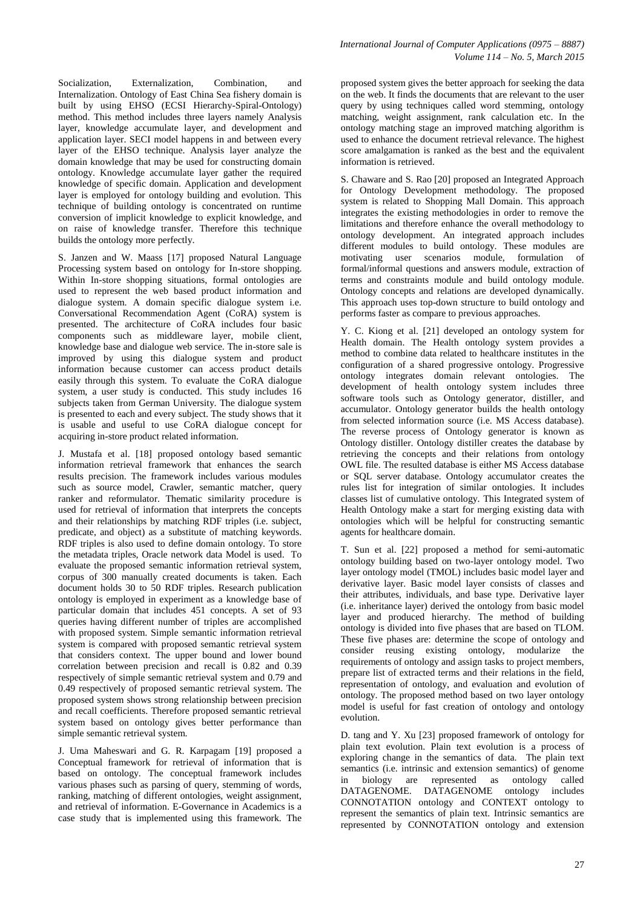Socialization, Externalization, Combination, and Internalization. Ontology of East China Sea fishery domain is built by using EHSO (ECSI Hierarchy-Spiral-Ontology) method. This method includes three layers namely Analysis layer, knowledge accumulate layer, and development and application layer. SECI model happens in and between every layer of the EHSO technique. Analysis layer analyze the domain knowledge that may be used for constructing domain ontology. Knowledge accumulate layer gather the required knowledge of specific domain. Application and development layer is employed for ontology building and evolution. This technique of building ontology is concentrated on runtime conversion of implicit knowledge to explicit knowledge, and on raise of knowledge transfer. Therefore this technique builds the ontology more perfectly.

S. Janzen and W. Maass [17] proposed Natural Language Processing system based on ontology for In-store shopping. Within In-store shopping situations, formal ontologies are used to represent the web based product information and dialogue system. A domain specific dialogue system i.e. Conversational Recommendation Agent (CoRA) system is presented. The architecture of CoRA includes four basic components such as middleware layer, mobile client, knowledge base and dialogue web service. The in-store sale is improved by using this dialogue system and product information because customer can access product details easily through this system. To evaluate the CoRA dialogue system, a user study is conducted. This study includes 16 subjects taken from German University. The dialogue system is presented to each and every subject. The study shows that it is usable and useful to use CoRA dialogue concept for acquiring in-store product related information.

J. Mustafa et al. [18] proposed ontology based semantic information retrieval framework that enhances the search results precision. The framework includes various modules such as source model, Crawler, semantic matcher, query ranker and reformulator. Thematic similarity procedure is used for retrieval of information that interprets the concepts and their relationships by matching RDF triples (i.e. subject, predicate, and object) as a substitute of matching keywords. RDF triples is also used to define domain ontology. To store the metadata triples, Oracle network data Model is used. To evaluate the proposed semantic information retrieval system, corpus of 300 manually created documents is taken. Each document holds 30 to 50 RDF triples. Research publication ontology is employed in experiment as a knowledge base of particular domain that includes 451 concepts. A set of 93 queries having different number of triples are accomplished with proposed system. Simple semantic information retrieval system is compared with proposed semantic retrieval system that considers context. The upper bound and lower bound correlation between precision and recall is 0.82 and 0.39 respectively of simple semantic retrieval system and 0.79 and 0.49 respectively of proposed semantic retrieval system. The proposed system shows strong relationship between precision and recall coefficients. Therefore proposed semantic retrieval system based on ontology gives better performance than simple semantic retrieval system.

J. Uma Maheswari and G. R. Karpagam [19] proposed a Conceptual framework for retrieval of information that is based on ontology. The conceptual framework includes various phases such as parsing of query, stemming of words, ranking, matching of different ontologies, weight assignment, and retrieval of information. E-Governance in Academics is a case study that is implemented using this framework. The

proposed system gives the better approach for seeking the data on the web. It finds the documents that are relevant to the user query by using techniques called word stemming, ontology matching, weight assignment, rank calculation etc. In the ontology matching stage an improved matching algorithm is used to enhance the document retrieval relevance. The highest score amalgamation is ranked as the best and the equivalent information is retrieved.

S. Chaware and S. Rao [20] proposed an Integrated Approach for Ontology Development methodology. The proposed system is related to Shopping Mall Domain. This approach integrates the existing methodologies in order to remove the limitations and therefore enhance the overall methodology to ontology development. An integrated approach includes different modules to build ontology. These modules are motivating user scenarios module, formulation of formal/informal questions and answers module, extraction of terms and constraints module and build ontology module. Ontology concepts and relations are developed dynamically. This approach uses top-down structure to build ontology and performs faster as compare to previous approaches.

Y. C. Kiong et al. [21] developed an ontology system for Health domain. The Health ontology system provides a method to combine data related to healthcare institutes in the configuration of a shared progressive ontology. Progressive ontology integrates domain relevant ontologies. The development of health ontology system includes three software tools such as Ontology generator, distiller, and accumulator. Ontology generator builds the health ontology from selected information source (i.e. MS Access database). The reverse process of Ontology generator is known as Ontology distiller. Ontology distiller creates the database by retrieving the concepts and their relations from ontology OWL file. The resulted database is either MS Access database or SQL server database. Ontology accumulator creates the rules list for integration of similar ontologies. It includes classes list of cumulative ontology. This Integrated system of Health Ontology make a start for merging existing data with ontologies which will be helpful for constructing semantic agents for healthcare domain.

T. Sun et al. [22] proposed a method for semi-automatic ontology building based on two-layer ontology model. Two layer ontology model (TMOL) includes basic model layer and derivative layer. Basic model layer consists of classes and their attributes, individuals, and base type. Derivative layer (i.e. inheritance layer) derived the ontology from basic model layer and produced hierarchy. The method of building ontology is divided into five phases that are based on TLOM. These five phases are: determine the scope of ontology and consider reusing existing ontology, modularize the requirements of ontology and assign tasks to project members, prepare list of extracted terms and their relations in the field, representation of ontology, and evaluation and evolution of ontology. The proposed method based on two layer ontology model is useful for fast creation of ontology and ontology evolution.

D. tang and Y. Xu [23] proposed framework of ontology for plain text evolution. Plain text evolution is a process of exploring change in the semantics of data. The plain text semantics (i.e. intrinsic and extension semantics) of genome in biology are represented as ontology called DATAGENOME. DATAGENOME ontology includes CONNOTATION ontology and CONTEXT ontology to represent the semantics of plain text. Intrinsic semantics are represented by CONNOTATION ontology and extension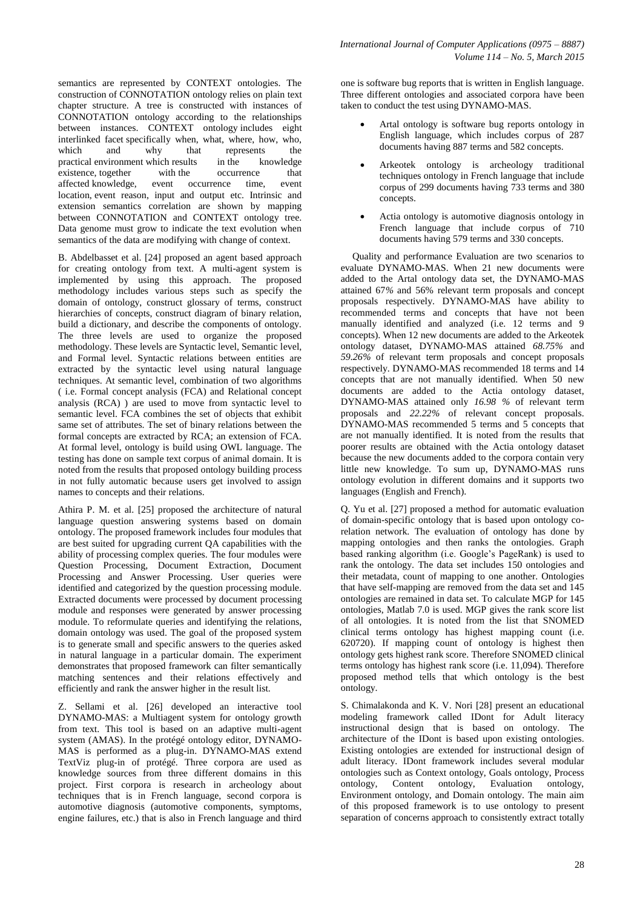semantics are represented by CONTEXT ontologies. The construction of CONNOTATION ontology relies on plain text chapter structure. A tree is constructed with instances of CONNOTATION ontology according to the relationships between instances. CONTEXT ontology includes eight interlinked facet specifically when, what, where, how, who, which and why that represents the<br>practical environment which results in the knowledge practical environment which results in the existence, together with the occurr existence, together with the occurrence that affected knowledge, event occurrence time, event location, event reason, input and output etc. Intrinsic and extension semantics correlation are shown by mapping between CONNOTATION and CONTEXT ontology tree. Data genome must grow to indicate the text evolution when semantics of the data are modifying with change of context.

B. Abdelbasset et al. [24] proposed an agent based approach for creating ontology from text. A multi-agent system is implemented by using this approach. The proposed methodology includes various steps such as specify the domain of ontology, construct glossary of terms, construct hierarchies of concepts, construct diagram of binary relation, build a dictionary, and describe the components of ontology. The three levels are used to organize the proposed methodology. These levels are Syntactic level, Semantic level, and Formal level. Syntactic relations between entities are extracted by the syntactic level using natural language techniques. At semantic level, combination of two algorithms ( i.e. Formal concept analysis (FCA) and Relational concept analysis (RCA) ) are used to move from syntactic level to semantic level. FCA combines the set of objects that exhibit same set of attributes. The set of binary relations between the formal concepts are extracted by RCA; an extension of FCA. At formal level, ontology is build using OWL language. The testing has done on sample text corpus of animal domain. It is noted from the results that proposed ontology building process in not fully automatic because users get involved to assign names to concepts and their relations.

Athira P. M. et al. [25] proposed the architecture of natural language question answering systems based on domain ontology. The proposed framework includes four modules that are best suited for upgrading current QA capabilities with the ability of processing complex queries. The four modules were Question Processing, Document Extraction, Document Processing and Answer Processing. User queries were identified and categorized by the question processing module. Extracted documents were processed by document processing module and responses were generated by answer processing module. To reformulate queries and identifying the relations, domain ontology was used. The goal of the proposed system is to generate small and specific answers to the queries asked in natural language in a particular domain. The experiment demonstrates that proposed framework can filter semantically matching sentences and their relations effectively and efficiently and rank the answer higher in the result list.

Z. Sellami et al. [26] developed an interactive tool DYNAMO-MAS: a Multiagent system for ontology growth from text. This tool is based on an adaptive multi-agent system (AMAS). In the protégé ontology editor, DYNAMO-MAS is performed as a plug-in. DYNAMO-MAS extend TextViz plug-in of protégé. Three corpora are used as knowledge sources from three different domains in this project. First corpora is research in archeology about techniques that is in French language, second corpora is automotive diagnosis (automotive components, symptoms, engine failures, etc.) that is also in French language and third one is software bug reports that is written in English language. Three different ontologies and associated corpora have been taken to conduct the test using DYNAMO-MAS.

- Artal ontology is software bug reports ontology in English language, which includes corpus of 287 documents having 887 terms and 582 concepts.
- Arkeotek ontology is archeology traditional techniques ontology in French language that include corpus of 299 documents having 733 terms and 380 concepts.
- Actia ontology is automotive diagnosis ontology in French language that include corpus of 710 documents having 579 terms and 330 concepts.

Quality and performance Evaluation are two scenarios to evaluate DYNAMO-MAS. When 21 new documents were added to the Artal ontology data set, the DYNAMO-MAS attained 67*%* and 56% relevant term proposals and concept proposals respectively. DYNAMO-MAS have ability to recommended terms and concepts that have not been manually identified and analyzed (i.e. 12 terms and 9 concepts). When 12 new documents are added to the Arkeotek ontology dataset, DYNAMO-MAS attained *68.75%* and *59.26%* of relevant term proposals and concept proposals respectively. DYNAMO-MAS recommended 18 terms and 14 concepts that are not manually identified. When 50 new documents are added to the Actia ontology dataset, DYNAMO-MAS attained only *16.98 %* of relevant term proposals and *22.22%* of relevant concept proposals. DYNAMO-MAS recommended 5 terms and 5 concepts that are not manually identified. It is noted from the results that poorer results are obtained with the Actia ontology dataset because the new documents added to the corpora contain very little new knowledge. To sum up, DYNAMO-MAS runs ontology evolution in different domains and it supports two languages (English and French).

Q. Yu et al. [27] proposed a method for automatic evaluation of domain-specific ontology that is based upon ontology corelation network. The evaluation of ontology has done by mapping ontologies and then ranks the ontologies. Graph based ranking algorithm (i.e. Google"s PageRank) is used to rank the ontology. The data set includes 150 ontologies and their metadata, count of mapping to one another. Ontologies that have self-mapping are removed from the data set and 145 ontologies are remained in data set. To calculate MGP for 145 ontologies, Matlab 7.0 is used. MGP gives the rank score list of all ontologies. It is noted from the list that SNOMED clinical terms ontology has highest mapping count (i.e. 620720). If mapping count of ontology is highest then ontology gets highest rank score. Therefore SNOMED clinical terms ontology has highest rank score (i.e. 11,094). Therefore proposed method tells that which ontology is the best ontology.

S. Chimalakonda and K. V. Nori [28] present an educational modeling framework called IDont for Adult literacy instructional design that is based on ontology. The architecture of the IDont is based upon existing ontologies. Existing ontologies are extended for instructional design of adult literacy. IDont framework includes several modular ontologies such as Context ontology, Goals ontology, Process ontology, Content ontology, Evaluation ontology, Environment ontology, and Domain ontology. The main aim of this proposed framework is to use ontology to present separation of concerns approach to consistently extract totally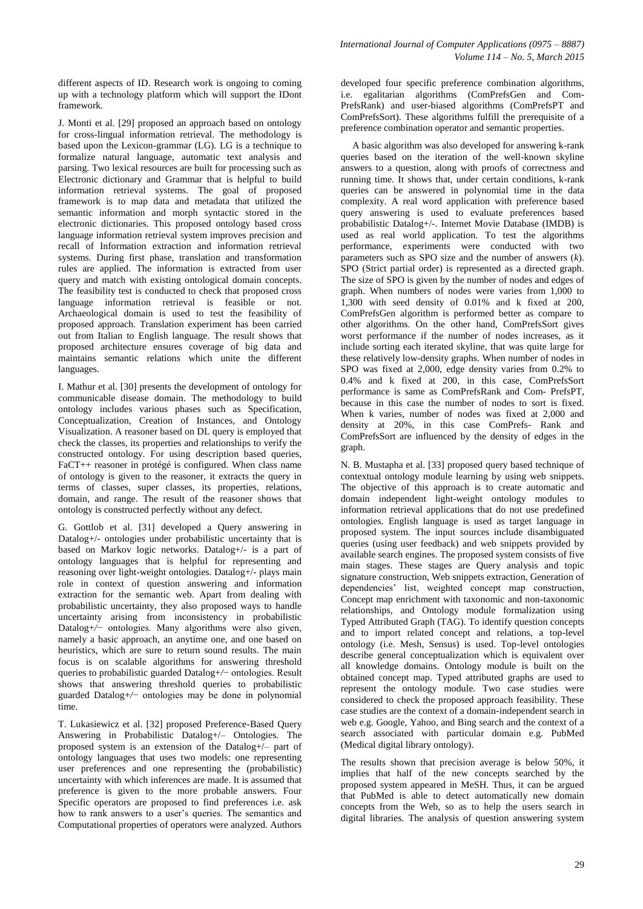different aspects of ID. Research work is ongoing to coming up with a technology platform which will support the IDont framework.

J. Monti et al. [29] proposed an approach based on ontology for cross-lingual information retrieval. The methodology is based upon the Lexicon-grammar (LG). LG is a technique to formalize natural language, automatic text analysis and parsing. Two lexical resources are built for processing such as Electronic dictionary and Grammar that is helpful to build information retrieval systems. The goal of proposed framework is to map data and metadata that utilized the semantic information and morph syntactic stored in the electronic dictionaries. This proposed ontology based cross language information retrieval system improves precision and recall of Information extraction and information retrieval systems. During first phase, translation and transformation rules are applied. The information is extracted from user query and match with existing ontological domain concepts. The feasibility test is conducted to check that proposed cross language information retrieval is feasible or not. Archaeological domain is used to test the feasibility of proposed approach. Translation experiment has been carried out from Italian to English language. The result shows that proposed architecture ensures coverage of big data and maintains semantic relations which unite the different languages.

I. Mathur et al. [30] presents the development of ontology for communicable disease domain. The methodology to build ontology includes various phases such as Specification, Conceptualization, Creation of Instances, and Ontology Visualization. A reasoner based on DL query is employed that check the classes, its properties and relationships to verify the constructed ontology. For using description based queries, FaCT++ reasoner in protégé is configured. When class name of ontology is given to the reasoner, it extracts the query in terms of classes, super classes, its properties, relations, domain, and range. The result of the reasoner shows that ontology is constructed perfectly without any defect.

G. Gottlob et al. [31] developed a Query answering in Datalog+/- ontologies under probabilistic uncertainty that is based on Markov logic networks. Datalog+/- is a part of ontology languages that is helpful for representing and reasoning over light-weight ontologies. Datalog+/- plays main role in context of question answering and information extraction for the semantic web. Apart from dealing with probabilistic uncertainty, they also proposed ways to handle uncertainty arising from inconsistency in probabilistic Datalog+*/*− ontologies. Many algorithms were also given, namely a basic approach, an anytime one, and one based on heuristics, which are sure to return sound results. The main focus is on scalable algorithms for answering threshold queries to probabilistic guarded Datalog+*/*− ontologies. Result shows that answering threshold queries to probabilistic guarded Datalog+*/*− ontologies may be done in polynomial time.

T. Lukasiewicz et al. [32] proposed Preference-Based Query Answering in Probabilistic Datalog+/– Ontologies. The proposed system is an extension of the Datalog+/– part of ontology languages that uses two models: one representing user preferences and one representing the (probabilistic) uncertainty with which inferences are made. It is assumed that preference is given to the more probable answers. Four Specific operators are proposed to find preferences i.e. ask how to rank answers to a user's queries. The semantics and Computational properties of operators were analyzed. Authors

developed four specific preference combination algorithms, i.e. egalitarian algorithms (ComPrefsGen and Com-PrefsRank) and user-biased algorithms (ComPrefsPT and ComPrefsSort). These algorithms fulfill the prerequisite of a preference combination operator and semantic properties.

A basic algorithm was also developed for answering k-rank queries based on the iteration of the well-known skyline answers to a question, along with proofs of correctness and running time. It shows that, under certain conditions, k-rank queries can be answered in polynomial time in the data complexity. A real word application with preference based query answering is used to evaluate preferences based probabilistic Datalog+/-. Internet Movie Database (IMDB) is used as real world application. To test the algorithms performance, experiments were conducted with two parameters such as SPO size and the number of answers (*k*). SPO (Strict partial order) is represented as a directed graph. The size of SPO is given by the number of nodes and edges of graph. When numbers of nodes were varies from 1,000 to 1,300 with seed density of 0.01% and k fixed at 200, ComPrefsGen algorithm is performed better as compare to other algorithms. On the other hand, ComPrefsSort gives worst performance if the number of nodes increases, as it include sorting each iterated skyline, that was quite large for these relatively low-density graphs. When number of nodes in SPO was fixed at 2,000, edge density varies from 0.2% to 0.4% and k fixed at 200, in this case, ComPrefsSort performance is same as ComPrefsRank and Com- PrefsPT, because in this case the number of nodes to sort is fixed. When k varies, number of nodes was fixed at 2,000 and density at 20%, in this case ComPrefs- Rank and ComPrefsSort are influenced by the density of edges in the graph.

N. B. Mustapha et al. [33] proposed query based technique of contextual ontology module learning by using web snippets. The objective of this approach is to create automatic and domain independent light-weight ontology modules to information retrieval applications that do not use predefined ontologies. English language is used as target language in proposed system. The input sources include disambiguated queries (using user feedback) and web snippets provided by available search engines. The proposed system consists of five main stages. These stages are Query analysis and topic signature construction, Web snippets extraction, Generation of dependencies" list, weighted concept map construction, Concept map enrichment with taxonomic and non-taxonomic relationships, and Ontology module formalization using Typed Attributed Graph (TAG). To identify question concepts and to import related concept and relations, a top-level ontology (i.e. Mesh, Sensus) is used. Top-level ontologies describe general conceptualization which is equivalent over all knowledge domains. Ontology module is built on the obtained concept map. Typed attributed graphs are used to represent the ontology module. Two case studies were considered to check the proposed approach feasibility. These case studies are the context of a domain-independent search in web e.g. Google, Yahoo, and Bing search and the context of a search associated with particular domain e.g. PubMed (Medical digital library ontology).

The results shown that precision average is below 50%, it implies that half of the new concepts searched by the proposed system appeared in MeSH. Thus, it can be argued that PubMed is able to detect automatically new domain concepts from the Web, so as to help the users search in digital libraries. The analysis of question answering system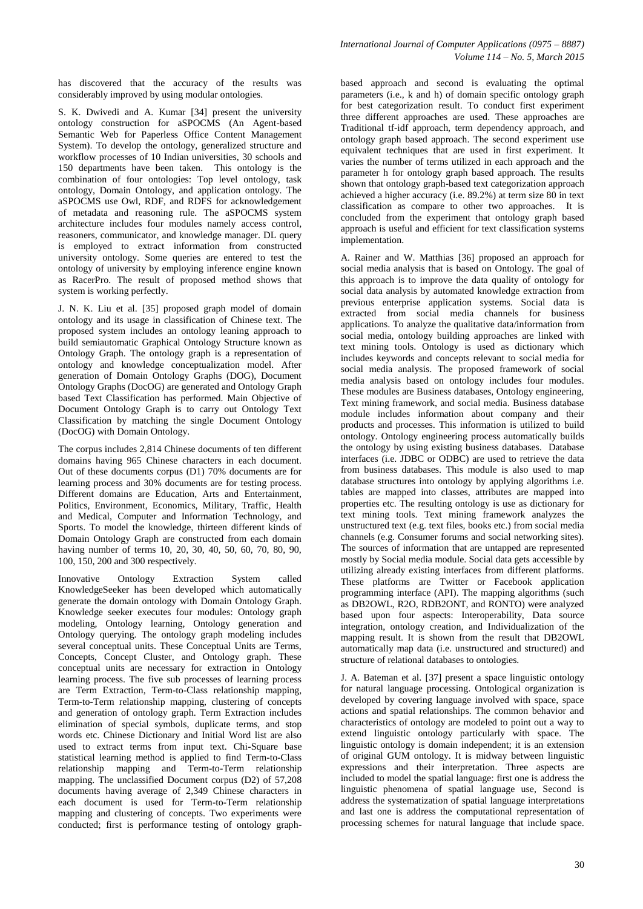has discovered that the accuracy of the results was considerably improved by using modular ontologies.

S. K. Dwivedi and A. Kumar [34] present the university ontology construction for aSPOCMS (An Agent-based Semantic Web for Paperless Office Content Management System). To develop the ontology, generalized structure and workflow processes of 10 Indian universities, 30 schools and 150 departments have been taken. This ontology is the combination of four ontologies: Top level ontology, task ontology, Domain Ontology, and application ontology. The aSPOCMS use Owl, RDF, and RDFS for acknowledgement of metadata and reasoning rule. The aSPOCMS system architecture includes four modules namely access control, reasoners, communicator, and knowledge manager. DL query is employed to extract information from constructed university ontology. Some queries are entered to test the ontology of university by employing inference engine known as RacerPro. The result of proposed method shows that system is working perfectly.

J. N. K. Liu et al. [35] proposed graph model of domain ontology and its usage in classification of Chinese text. The proposed system includes an ontology leaning approach to build semiautomatic Graphical Ontology Structure known as Ontology Graph. The ontology graph is a representation of ontology and knowledge conceptualization model. After generation of Domain Ontology Graphs (DOG), Document Ontology Graphs (DocOG) are generated and Ontology Graph based Text Classification has performed. Main Objective of Document Ontology Graph is to carry out Ontology Text Classification by matching the single Document Ontology (DocOG) with Domain Ontology.

The corpus includes 2,814 Chinese documents of ten different domains having 965 Chinese characters in each document. Out of these documents corpus (D1) 70% documents are for learning process and 30% documents are for testing process. Different domains are Education, Arts and Entertainment, Politics, Environment, Economics, Military, Traffic, Health and Medical, Computer and Information Technology, and Sports. To model the knowledge, thirteen different kinds of Domain Ontology Graph are constructed from each domain having number of terms 10, 20, 30, 40, 50, 60, 70, 80, 90, 100, 150, 200 and 300 respectively.

Innovative Ontology Extraction System called KnowledgeSeeker has been developed which automatically generate the domain ontology with Domain Ontology Graph. Knowledge seeker executes four modules: Ontology graph modeling, Ontology learning, Ontology generation and Ontology querying. The ontology graph modeling includes several conceptual units. These Conceptual Units are Terms, Concepts, Concept Cluster, and Ontology graph. These conceptual units are necessary for extraction in Ontology learning process. The five sub processes of learning process are Term Extraction, Term-to-Class relationship mapping, Term-to-Term relationship mapping, clustering of concepts and generation of ontology graph. Term Extraction includes elimination of special symbols, duplicate terms, and stop words etc. Chinese Dictionary and Initial Word list are also used to extract terms from input text. Chi-Square base statistical learning method is applied to find Term-to-Class relationship mapping and Term-to-Term relationship mapping. The unclassified Document corpus (D2) of 57,208 documents having average of 2,349 Chinese characters in each document is used for Term-to-Term relationship mapping and clustering of concepts. Two experiments were conducted; first is performance testing of ontology graphbased approach and second is evaluating the optimal parameters (i.e., k and h) of domain specific ontology graph for best categorization result. To conduct first experiment three different approaches are used. These approaches are Traditional tf-idf approach, term dependency approach, and ontology graph based approach. The second experiment use equivalent techniques that are used in first experiment. It varies the number of terms utilized in each approach and the parameter h for ontology graph based approach. The results shown that ontology graph-based text categorization approach achieved a higher accuracy (i.e. 89.2%) at term size 80 in text classification as compare to other two approaches. It is concluded from the experiment that ontology graph based approach is useful and efficient for text classification systems implementation.

A. Rainer and W. Matthias [36] proposed an approach for social media analysis that is based on Ontology. The goal of this approach is to improve the data quality of ontology for social data analysis by automated knowledge extraction from previous enterprise application systems. Social data is extracted from social media channels for business applications. To analyze the qualitative data/information from social media, ontology building approaches are linked with text mining tools. Ontology is used as dictionary which includes keywords and concepts relevant to social media for social media analysis. The proposed framework of social media analysis based on ontology includes four modules. These modules are Business databases, Ontology engineering, Text mining framework, and social media. Business database module includes information about company and their products and processes. This information is utilized to build ontology. Ontology engineering process automatically builds the ontology by using existing business databases. Database interfaces (i.e. JDBC or ODBC) are used to retrieve the data from business databases. This module is also used to map database structures into ontology by applying algorithms i.e. tables are mapped into classes, attributes are mapped into properties etc. The resulting ontology is use as dictionary for text mining tools. Text mining framework analyzes the unstructured text (e.g. text files, books etc.) from social media channels (e.g. Consumer forums and social networking sites). The sources of information that are untapped are represented mostly by Social media module. Social data gets accessible by utilizing already existing interfaces from different platforms. These platforms are Twitter or Facebook application programming interface (API). The mapping algorithms (such as DB2OWL, R2O, RDB2ONT, and RONTO) were analyzed based upon four aspects: Interoperability, Data source integration, ontology creation, and Individualization of the mapping result. It is shown from the result that DB2OWL automatically map data (i.e. unstructured and structured) and structure of relational databases to ontologies.

J. A. Bateman et al. [37] present a space linguistic ontology for natural language processing. Ontological organization is developed by covering language involved with space, space actions and spatial relationships. The common behavior and characteristics of ontology are modeled to point out a way to extend linguistic ontology particularly with space. The linguistic ontology is domain independent; it is an extension of original GUM ontology. It is midway between linguistic expressions and their interpretation. Three aspects are included to model the spatial language: first one is address the linguistic phenomena of spatial language use, Second is address the systematization of spatial language interpretations and last one is address the computational representation of processing schemes for natural language that include space.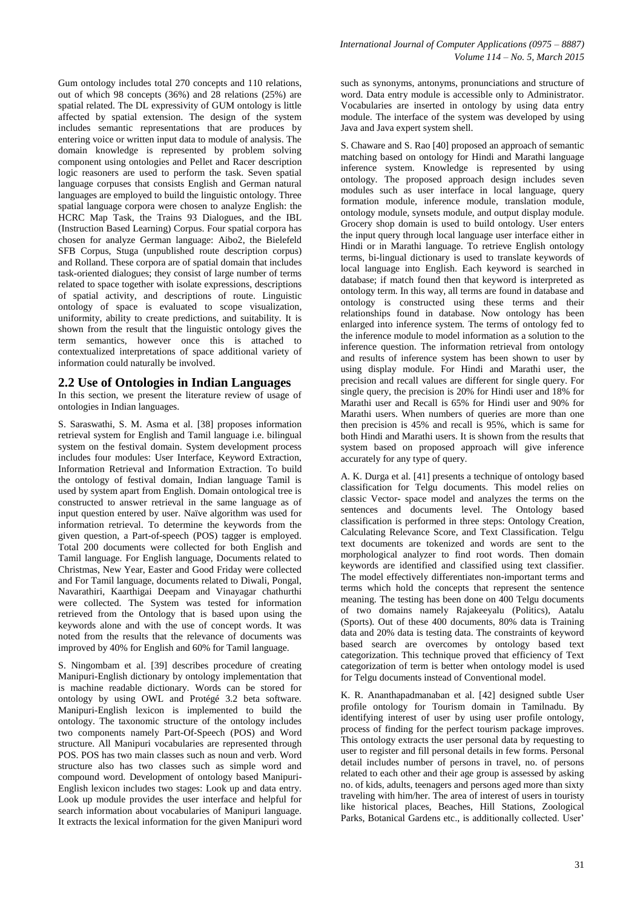Gum ontology includes total 270 concepts and 110 relations, out of which 98 concepts (36%) and 28 relations (25%) are spatial related. The DL expressivity of GUM ontology is little affected by spatial extension. The design of the system includes semantic representations that are produces by entering voice or written input data to module of analysis. The domain knowledge is represented by problem solving component using ontologies and Pellet and Racer description logic reasoners are used to perform the task. Seven spatial language corpuses that consists English and German natural languages are employed to build the linguistic ontology. Three spatial language corpora were chosen to analyze English: the HCRC Map Task, the Trains 93 Dialogues, and the IBL (Instruction Based Learning) Corpus. Four spatial corpora has chosen for analyze German language: Aibo2, the Bielefeld SFB Corpus, Stuga (unpublished route description corpus) and Rolland. These corpora are of spatial domain that includes task-oriented dialogues; they consist of large number of terms related to space together with isolate expressions, descriptions of spatial activity, and descriptions of route. Linguistic ontology of space is evaluated to scope visualization, uniformity, ability to create predictions, and suitability. It is shown from the result that the linguistic ontology gives the term semantics, however once this is attached to contextualized interpretations of space additional variety of information could naturally be involved.

#### **2.2 Use of Ontologies in Indian Languages**

In this section, we present the literature review of usage of ontologies in Indian languages.

S. Saraswathi, S. M. Asma et al. [38] proposes information retrieval system for English and Tamil language i.e. bilingual system on the festival domain. System development process includes four modules: User Interface, Keyword Extraction, Information Retrieval and Information Extraction. To build the ontology of festival domain, Indian language Tamil is used by system apart from English. Domain ontological tree is constructed to answer retrieval in the same language as of input question entered by user. Naïve algorithm was used for information retrieval. To determine the keywords from the given question, a Part-of-speech (POS) tagger is employed. Total 200 documents were collected for both English and Tamil language. For English language, Documents related to Christmas, New Year, Easter and Good Friday were collected and For Tamil language, documents related to Diwali, Pongal, Navarathiri, Kaarthigai Deepam and Vinayagar chathurthi were collected. The System was tested for information retrieved from the Ontology that is based upon using the keywords alone and with the use of concept words. It was noted from the results that the relevance of documents was improved by 40% for English and 60% for Tamil language.

S. Ningombam et al. [39] describes procedure of creating Manipuri-English dictionary by ontology implementation that is machine readable dictionary. Words can be stored for ontology by using OWL and Protégé 3.2 beta software. Manipuri-English lexicon is implemented to build the ontology. The taxonomic structure of the ontology includes two components namely Part-Of-Speech (POS) and Word structure. All Manipuri vocabularies are represented through POS. POS has two main classes such as noun and verb. Word structure also has two classes such as simple word and compound word. Development of ontology based Manipuri-English lexicon includes two stages: Look up and data entry. Look up module provides the user interface and helpful for search information about vocabularies of Manipuri language. It extracts the lexical information for the given Manipuri word such as synonyms, antonyms, pronunciations and structure of word. Data entry module is accessible only to Administrator. Vocabularies are inserted in ontology by using data entry module. The interface of the system was developed by using Java and Java expert system shell.

S. Chaware and S. Rao [40] proposed an approach of semantic matching based on ontology for Hindi and Marathi language inference system. Knowledge is represented by using ontology. The proposed approach design includes seven modules such as user interface in local language, query formation module, inference module, translation module, ontology module, synsets module, and output display module. Grocery shop domain is used to build ontology. User enters the input query through local language user interface either in Hindi or in Marathi language. To retrieve English ontology terms, bi-lingual dictionary is used to translate keywords of local language into English. Each keyword is searched in database; if match found then that keyword is interpreted as ontology term. In this way, all terms are found in database and ontology is constructed using these terms and their relationships found in database. Now ontology has been enlarged into inference system. The terms of ontology fed to the inference module to model information as a solution to the inference question. The information retrieval from ontology and results of inference system has been shown to user by using display module. For Hindi and Marathi user, the precision and recall values are different for single query. For single query, the precision is 20% for Hindi user and 18% for Marathi user and Recall is 65% for Hindi user and 90% for Marathi users. When numbers of queries are more than one then precision is 45% and recall is 95%, which is same for both Hindi and Marathi users. It is shown from the results that system based on proposed approach will give inference accurately for any type of query.

A. K. Durga et al. [41] presents a technique of ontology based classification for Telgu documents. This model relies on classic Vector- space model and analyzes the terms on the sentences and documents level. The Ontology based classification is performed in three steps: Ontology Creation, Calculating Relevance Score, and Text Classification. Telgu text documents are tokenized and words are sent to the morphological analyzer to find root words. Then domain keywords are identified and classified using text classifier. The model effectively differentiates non-important terms and terms which hold the concepts that represent the sentence meaning. The testing has been done on 400 Telgu documents of two domains namely Rajakeeyalu (Politics), Aatalu (Sports). Out of these 400 documents, 80% data is Training data and 20% data is testing data. The constraints of keyword based search are overcomes by ontology based text categorization. This technique proved that efficiency of Text categorization of term is better when ontology model is used for Telgu documents instead of Conventional model.

K. R. Ananthapadmanaban et al. [42] designed subtle User profile ontology for Tourism domain in Tamilnadu. By identifying interest of user by using user profile ontology, process of finding for the perfect tourism package improves. This ontology extracts the user personal data by requesting to user to register and fill personal details in few forms. Personal detail includes number of persons in travel, no. of persons related to each other and their age group is assessed by asking no. of kids, adults, teenagers and persons aged more than sixty traveling with him/her. The area of interest of users in touristy like historical places, Beaches, Hill Stations, Zoological Parks, Botanical Gardens etc., is additionally collected. User'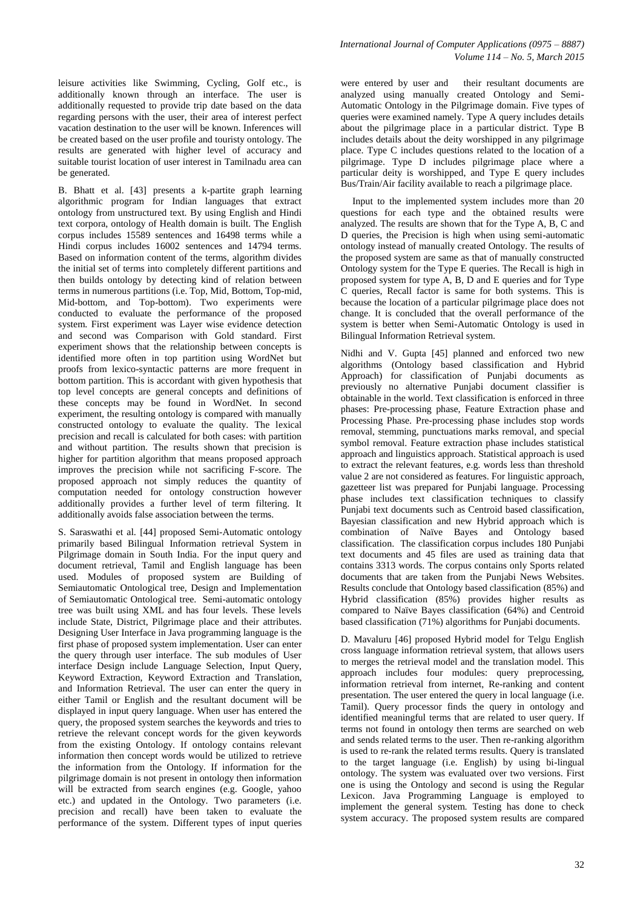leisure activities like Swimming, Cycling, Golf etc., is additionally known through an interface. The user is additionally requested to provide trip date based on the data regarding persons with the user, their area of interest perfect vacation destination to the user will be known. Inferences will be created based on the user profile and touristy ontology. The results are generated with higher level of accuracy and suitable tourist location of user interest in Tamilnadu area can be generated.

B. Bhatt et al. [43] presents a k-partite graph learning algorithmic program for Indian languages that extract ontology from unstructured text. By using English and Hindi text corpora, ontology of Health domain is built. The English corpus includes 15589 sentences and 16498 terms while a Hindi corpus includes 16002 sentences and 14794 terms. Based on information content of the terms, algorithm divides the initial set of terms into completely different partitions and then builds ontology by detecting kind of relation between terms in numerous partitions (i.e. Top, Mid, Bottom, Top-mid, Mid-bottom, and Top-bottom). Two experiments were conducted to evaluate the performance of the proposed system. First experiment was Layer wise evidence detection and second was Comparison with Gold standard. First experiment shows that the relationship between concepts is identified more often in top partition using WordNet but proofs from lexico-syntactic patterns are more frequent in bottom partition. This is accordant with given hypothesis that top level concepts are general concepts and definitions of these concepts may be found in WordNet. In second experiment, the resulting ontology is compared with manually constructed ontology to evaluate the quality. The lexical precision and recall is calculated for both cases: with partition and without partition. The results shown that precision is higher for partition algorithm that means proposed approach improves the precision while not sacrificing F-score. The proposed approach not simply reduces the quantity of computation needed for ontology construction however additionally provides a further level of term filtering. It additionally avoids false association between the terms.

S. Saraswathi et al. [44] proposed Semi-Automatic ontology primarily based Bilingual Information retrieval System in Pilgrimage domain in South India. For the input query and document retrieval, Tamil and English language has been used. Modules of proposed system are Building of Semiautomatic Ontological tree, Design and Implementation of Semiautomatic Ontological tree. Semi-automatic ontology tree was built using XML and has four levels. These levels include State, District, Pilgrimage place and their attributes. Designing User Interface in Java programming language is the first phase of proposed system implementation. User can enter the query through user interface. The sub modules of User interface Design include Language Selection, Input Query, Keyword Extraction, Keyword Extraction and Translation, and Information Retrieval. The user can enter the query in either Tamil or English and the resultant document will be displayed in input query language. When user has entered the query, the proposed system searches the keywords and tries to retrieve the relevant concept words for the given keywords from the existing Ontology. If ontology contains relevant information then concept words would be utilized to retrieve the information from the Ontology. If information for the pilgrimage domain is not present in ontology then information will be extracted from search engines (e.g. Google, yahoo etc.) and updated in the Ontology. Two parameters (i.e. precision and recall) have been taken to evaluate the performance of the system. Different types of input queries

were entered by user and their resultant documents are analyzed using manually created Ontology and Semi-Automatic Ontology in the Pilgrimage domain. Five types of queries were examined namely. Type A query includes details about the pilgrimage place in a particular district. Type B includes details about the deity worshipped in any pilgrimage place. Type C includes questions related to the location of a pilgrimage. Type D includes pilgrimage place where a particular deity is worshipped, and Type E query includes Bus/Train/Air facility available to reach a pilgrimage place.

Input to the implemented system includes more than 20 questions for each type and the obtained results were analyzed. The results are shown that for the Type A, B, C and D queries, the Precision is high when using semi-automatic ontology instead of manually created Ontology. The results of the proposed system are same as that of manually constructed Ontology system for the Type E queries. The Recall is high in proposed system for type A, B, D and E queries and for Type C queries, Recall factor is same for both systems. This is because the location of a particular pilgrimage place does not change. It is concluded that the overall performance of the system is better when Semi-Automatic Ontology is used in Bilingual Information Retrieval system.

Nidhi and V. Gupta [45] planned and enforced two new algorithms (Ontology based classification and Hybrid Approach) for classification of Punjabi documents as previously no alternative Punjabi document classifier is obtainable in the world. Text classification is enforced in three phases: Pre-processing phase, Feature Extraction phase and Processing Phase. Pre-processing phase includes stop words removal, stemming, punctuations marks removal, and special symbol removal. Feature extraction phase includes statistical approach and linguistics approach. Statistical approach is used to extract the relevant features, e.g. words less than threshold value 2 are not considered as features. For linguistic approach, gazetteer list was prepared for Punjabi language. Processing phase includes text classification techniques to classify Punjabi text documents such as Centroid based classification, Bayesian classification and new Hybrid approach which is combination of Naïve Bayes and Ontology based classification. The classification corpus includes 180 Punjabi text documents and 45 files are used as training data that contains 3313 words. The corpus contains only Sports related documents that are taken from the Punjabi News Websites. Results conclude that Ontology based classification (85%) and Hybrid classification (85%) provides higher results as compared to Naïve Bayes classification (64%) and Centroid based classification (71%) algorithms for Punjabi documents.

D. Mavaluru [46] proposed Hybrid model for Telgu English cross language information retrieval system, that allows users to merges the retrieval model and the translation model. This approach includes four modules: query preprocessing, information retrieval from internet, Re-ranking and content presentation. The user entered the query in local language (i.e. Tamil). Query processor finds the query in ontology and identified meaningful terms that are related to user query. If terms not found in ontology then terms are searched on web and sends related terms to the user. Then re-ranking algorithm is used to re-rank the related terms results. Query is translated to the target language (i.e. English) by using bi-lingual ontology. The system was evaluated over two versions. First one is using the Ontology and second is using the Regular Lexicon. Java Programming Language is employed to implement the general system. Testing has done to check system accuracy. The proposed system results are compared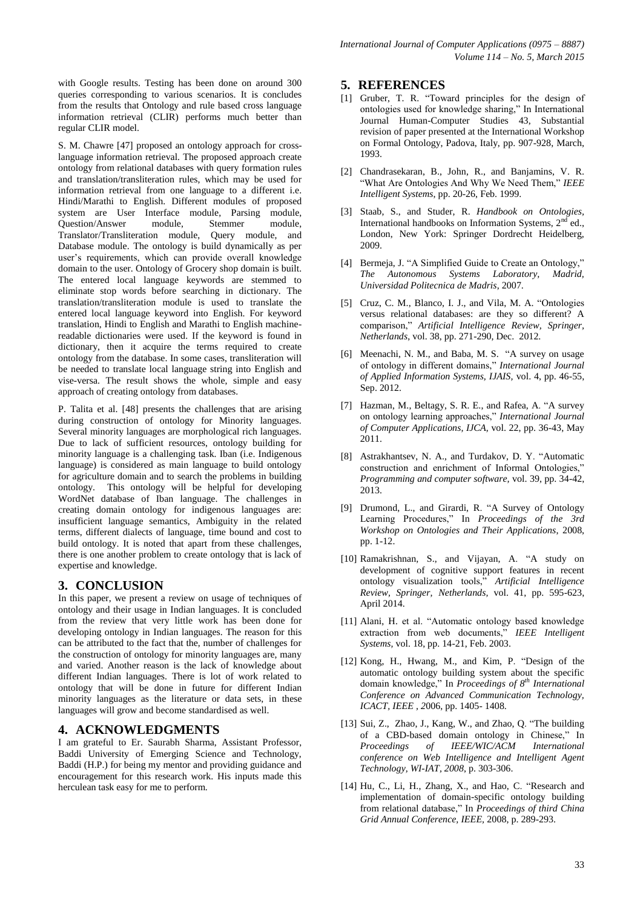with Google results. Testing has been done on around 300 queries corresponding to various scenarios. It is concludes from the results that Ontology and rule based cross language information retrieval (CLIR) performs much better than regular CLIR model.

S. M. Chawre [47] proposed an ontology approach for crosslanguage information retrieval. The proposed approach create ontology from relational databases with query formation rules and translation/transliteration rules, which may be used for information retrieval from one language to a different i.e. Hindi/Marathi to English. Different modules of proposed system are User Interface module, Parsing module, Question/Answer module, Stemmer module, Translator/Transliteration module, Query module, and Database module. The ontology is build dynamically as per user's requirements, which can provide overall knowledge domain to the user. Ontology of Grocery shop domain is built. The entered local language keywords are stemmed to eliminate stop words before searching in dictionary. The translation/transliteration module is used to translate the entered local language keyword into English. For keyword translation, Hindi to English and Marathi to English machinereadable dictionaries were used. If the keyword is found in dictionary, then it acquire the terms required to create ontology from the database. In some cases, transliteration will be needed to translate local language string into English and vise-versa. The result shows the whole, simple and easy approach of creating ontology from databases.

P. Talita et al. [48] presents the challenges that are arising during construction of ontology for Minority languages. Several minority languages are morphological rich languages. Due to lack of sufficient resources, ontology building for minority language is a challenging task. Iban (i.e. Indigenous language) is considered as main language to build ontology for agriculture domain and to search the problems in building ontology. This ontology will be helpful for developing WordNet database of Iban language. The challenges in creating domain ontology for indigenous languages are: insufficient language semantics, Ambiguity in the related terms, different dialects of language, time bound and cost to build ontology. It is noted that apart from these challenges, there is one another problem to create ontology that is lack of expertise and knowledge.

# **3. CONCLUSION**

In this paper, we present a review on usage of techniques of ontology and their usage in Indian languages. It is concluded from the review that very little work has been done for developing ontology in Indian languages. The reason for this can be attributed to the fact that the, number of challenges for the construction of ontology for minority languages are, many and varied. Another reason is the lack of knowledge about different Indian languages. There is lot of work related to ontology that will be done in future for different Indian minority languages as the literature or data sets, in these languages will grow and become standardised as well.

# **4. ACKNOWLEDGMENTS**

I am grateful to Er. Saurabh Sharma, Assistant Professor, Baddi University of Emerging Science and Technology, Baddi (H.P.) for being my mentor and providing guidance and encouragement for this research work. His inputs made this herculean task easy for me to perform.

## **5. REFERENCES**

- [1] Gruber, T. R. "Toward principles for the design of ontologies used for knowledge sharing," In International Journal Human-Computer Studies 43, Substantial revision of paper presented at the International Workshop on Formal Ontology, Padova, Italy, pp. 907-928, March, 1993.
- [2] Chandrasekaran, B., John, R., and Banjamins, V. R. "What Are Ontologies And Why We Need Them," *IEEE Intelligent Systems*, pp. 20-26, Feb. 1999.
- [3] Staab, S., and Studer, R. *Handbook on Ontologies,*  International handbooks on Information Systems, 2<sup>nd</sup> ed., London, New York: Springer Dordrecht Heidelberg, 2009.
- [4] Bermeja, J. "A Simplified Guide to Create an Ontology," *The Autonomous Systems Laboratory, Madrid, Universidad Politecnica de Madris*, 2007.
- [5] Cruz, C. M., Blanco, I. J., and Vila, M. A. "Ontologies versus relational databases: are they so different? A comparison," *Artificial Intelligence Review, Springer, Netherlands*, vol. 38, pp. 271-290, Dec. 2012.
- [6] Meenachi, N. M., and Baba, M. S. "A survey on usage of ontology in different domains," *International Journal of Applied Information Systems, IJAIS,* vol. 4, pp. 46-55, Sep. 2012.
- [7] Hazman, M., Beltagy, S. R. E., and Rafea, A. "A survey on ontology learning approaches," *International Journal of Computer Applications, IJCA,* vol. 22, pp. 36-43, May 2011.
- [8] Astrakhantsev, N. A., and Turdakov, D. Y. "Automatic construction and enrichment of Informal Ontologies," *Programming and computer software,* vol. 39, pp. 34-42, 2013.
- [9] Drumond, L., and Girardi, R. "A Survey of Ontology Learning Procedures," In *Proceedings of the 3rd Workshop on Ontologies and Their Applications*, 2008, pp. 1-12.
- [10] Ramakrishnan, S., and Vijayan, A. "A study on development of cognitive support features in recent ontology visualization tools," *Artificial Intelligence Review, Springer, Netherlands,* vol. 41, pp. 595-623, April 2014.
- [11] Alani, H. et al. "Automatic ontology based knowledge extraction from web documents," *IEEE Intelligent Systems,* vol. 18, pp. 14-21, Feb. 2003.
- [12] Kong, H., Hwang, M., and Kim, P. "Design of the automatic ontology building system about the specific domain knowledge," In *Proceedings of 8th International Conference on Advanced Communication Technology, ICACT, IEEE , 2*006, pp. 1405- 1408.
- [13] Sui, Z., Zhao, J., Kang, W., and Zhao, Q. "The building of a CBD-based domain ontology in Chinese," In Proceedings of IEEE/WIC/ACM International *Proceedings of IEEE/WIC/ACM International conference on Web Intelligence and Intelligent Agent Technology, WI-IAT, 2008*, p. 303-306.
- [14] Hu, C., Li, H., Zhang, X., and Hao, C. "Research and implementation of domain-specific ontology building from relational database," In *Proceedings of third China Grid Annual Conference, IEEE,* 2008, p. 289-293.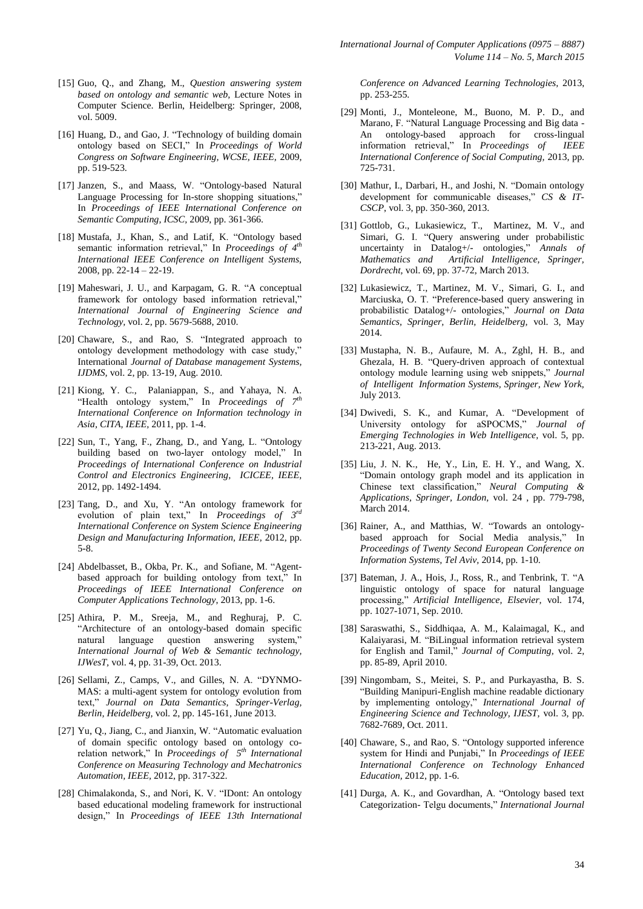- [15] Guo, Q., and Zhang, M., *Question answering system based on ontology and semantic web,* Lecture Notes in Computer Science. Berlin, Heidelberg: Springer, 2008, vol. 5009.
- [16] Huang, D., and Gao, J. "Technology of building domain ontology based on SECI," In *Proceedings of World Congress on Software Engineering, WCSE, IEEE,* 2009, pp. 519-523.
- [17] Janzen, S., and Maass, W. "Ontology-based Natural Language Processing for In-store shopping situations," In *Proceedings of IEEE International Conference on Semantic Computing, ICSC,* 2009, pp. 361-366.
- [18] Mustafa, J., Khan, S., and Latif, K. "Ontology based semantic information retrieval," In *Proceedings of 4th International IEEE Conference on Intelligent Systems,* 2008, pp. 22-14 – 22-19.
- [19] Maheswari, J. U., and Karpagam, G. R. "A conceptual framework for ontology based information retrieval," *International Journal of Engineering Science and Technology,* vol. 2, pp. 5679-5688, 2010.
- [20] Chaware, S., and Rao, S. "Integrated approach to ontology development methodology with case study," International *Journal of Database management Systems, IJDMS,* vol. 2, pp. 13-19, Aug. 2010.
- [21] Kiong, Y. C., Palaniappan, S., and Yahaya, N. A. "Health ontology system," In *Proceedings of 7 th International Conference on Information technology in Asia, CITA, IEEE,* 2011, pp. 1-4.
- [22] Sun, T., Yang, F., Zhang, D., and Yang, L. "Ontology building based on two-layer ontology model," In *Proceedings of International Conference on Industrial Control and Electronics Engineering, ICICEE, IEEE,*  2012, pp. 1492-1494.
- [23] Tang, D., and Xu, Y. "An ontology framework for evolution of plain text," In *Proceedings of 3rd International Conference on System Science Engineering Design and Manufacturing Information, IEEE,* 2012, pp. 5-8.
- [24] Abdelbasset, B., Okba, Pr. K., and Sofiane, M. "Agentbased approach for building ontology from text," In *Proceedings of IEEE International Conference on Computer Applications Technology*, 2013, pp. 1-6.
- [25] Athira, P. M., Sreeja, M., and Reghuraj, P. C. "Architecture of an ontology-based domain specific natural language question answering system," *International Journal of Web & Semantic technology, IJWesT,* vol. 4, pp. 31-39, Oct. 2013.
- [26] Sellami, Z., Camps, V., and Gilles, N. A. "DYNMO-MAS: a multi-agent system for ontology evolution from text," *Journal on Data Semantics, Springer-Verlag, Berlin, Heidelberg,* vol. 2, pp. 145-161, June 2013.
- [27] Yu, O., Jiang, C., and Jianxin, W. "Automatic evaluation of domain specific ontology based on ontology corelation network," In *Proceedings of 5th International Conference on Measuring Technology and Mechatronics Automation, IEEE,* 2012, pp. 317-322.
- [28] Chimalakonda, S., and Nori, K. V. "IDont: An ontology based educational modeling framework for instructional design," In *Proceedings of IEEE 13th International*

*Conference on Advanced Learning Technologies,* 2013, pp. 253-255.

- [29] Monti, J., Monteleone, M., Buono, M. P. D., and Marano, F. "Natural Language Processing and Big data - An ontology-based approach for cross-lingual information retrieval," In *Proceedings of IEEE International Conference of Social Computing,* 2013, pp. 725-731.
- [30] Mathur, I., Darbari, H., and Joshi, N. "Domain ontology development for communicable diseases," *CS & IT-CSCP*, vol. 3, pp. 350-360, 2013.
- [31] Gottlob, G., Lukasiewicz, T., Martinez, M. V., and Simari, G. I. "Query answering under probabilistic uncertainty in Datalog+/- ontologies," *Annals of Mathematics and Artificial Intelligence, Springer, Dordrecht,* vol. 69, pp. 37-72, March 2013.
- [32] Lukasiewicz, T., Martinez, M. V., Simari, G. I., and Marciuska, O. T. "Preference-based query answering in probabilistic Datalog+/- ontologies," *Journal on Data Semantics, Springer, Berlin, Heidelberg,* vol. 3, May 2014.
- [33] Mustapha, N. B., Aufaure, M. A., Zghl, H. B., and Ghezala, H. B. "Query-driven approach of contextual ontology module learning using web snippets," *Journal of Intelligent Information Systems, Springer, New York,*  July 2013.
- [34] Dwivedi, S. K., and Kumar, A. "Development of University ontology for aSPOCMS," *Journal of Emerging Technologies in Web Intelligence,* vol. 5, pp. 213-221, Aug. 2013.
- [35] Liu, J. N. K., He, Y., Lin, E. H. Y., and Wang, X. "Domain ontology graph model and its application in Chinese text classification," *Neural Computing & Applications, Springer, London,* vol. 24 , pp. 779-798, March 2014.
- [36] Rainer, A., and Matthias, W. "Towards an ontologybased approach for Social Media analysis," In *Proceedings of Twenty Second European Conference on Information Systems, Tel Aviv,* 2014, pp. 1-10.
- [37] Bateman, J. A., Hois, J., Ross, R., and Tenbrink, T. "A linguistic ontology of space for natural language processing," *Artificial Intelligence, Elsevier,* vol. 174, pp. 1027-1071, Sep. 2010.
- [38] Saraswathi, S., Siddhiqaa, A. M., Kalaimagal, K., and Kalaiyarasi, M. "BiLingual information retrieval system for English and Tamil," *Journal of Computing,* vol. 2, pp. 85-89, April 2010.
- [39] Ningombam, S., Meitei, S. P., and Purkayastha, B. S. "Building Manipuri-English machine readable dictionary by implementing ontology," *International Journal of Engineering Science and Technology, IJEST,* vol. 3, pp. 7682-7689, Oct. 2011.
- [40] Chaware, S., and Rao, S. "Ontology supported inference system for Hindi and Punjabi," In *Proceedings of IEEE International Conference on Technology Enhanced Education,* 2012, pp. 1-6.
- [41] Durga, A. K., and Govardhan, A. "Ontology based text Categorization- Telgu documents," *International Journal*